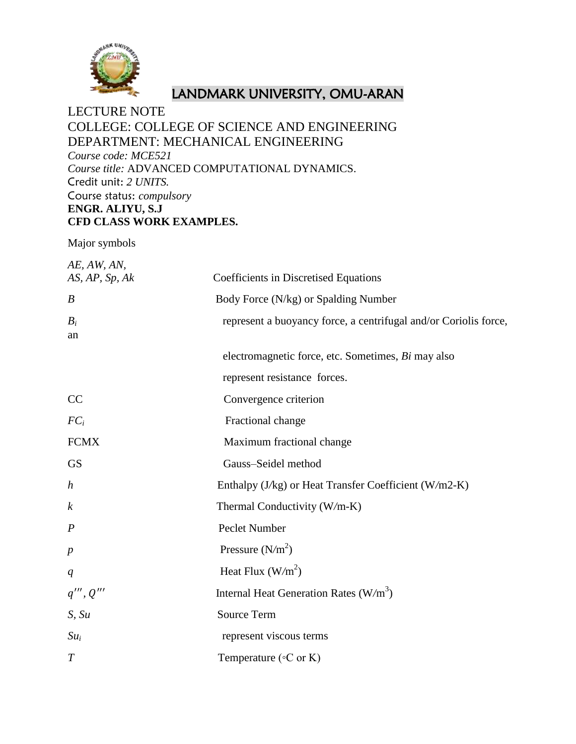

# LANDMARK UNIVERSITY, OMU-ARAN

# LECTURE NOTE COLLEGE: COLLEGE OF SCIENCE AND ENGINEERING DEPARTMENT: MECHANICAL ENGINEERING *Course code: MCE521 Course title:* ADVANCED COMPUTATIONAL DYNAMICS. Credit unit: *2 UNITS.* Course status: *compulsory* **ENGR. ALIYU, S.J CFD CLASS WORK EXAMPLES.**

Major symbols

| AE, AW, AN,<br>AS, AP, Sp, Ak | Coefficients in Discretised Equations                            |
|-------------------------------|------------------------------------------------------------------|
| $\boldsymbol{B}$              | Body Force (N/kg) or Spalding Number                             |
| $B_i$<br>an                   | represent a buoyancy force, a centrifugal and/or Coriolis force, |
|                               | electromagnetic force, etc. Sometimes, Bi may also               |
|                               | represent resistance forces.                                     |
| CC                            | Convergence criterion                                            |
| $FC_i$                        | Fractional change                                                |
| <b>FCMX</b>                   | Maximum fractional change                                        |
| <b>GS</b>                     | Gauss-Seidel method                                              |
| $\boldsymbol{h}$              | Enthalpy (J/kg) or Heat Transfer Coefficient (W/m2-K)            |
| $\boldsymbol{k}$              | Thermal Conductivity (W/m-K)                                     |
| $\boldsymbol{P}$              | Peclet Number                                                    |
| $\boldsymbol{p}$              | Pressure $(N/m2)$                                                |
| q                             | Heat Flux $(W/m^2)$                                              |
| q''', Q'''                    | Internal Heat Generation Rates $(W/m^3)$                         |
| S, Su                         | <b>Source Term</b>                                               |
| $Su_i$                        | represent viscous terms                                          |
| $\overline{T}$                | Temperature ( $\circ$ C or K)                                    |
|                               |                                                                  |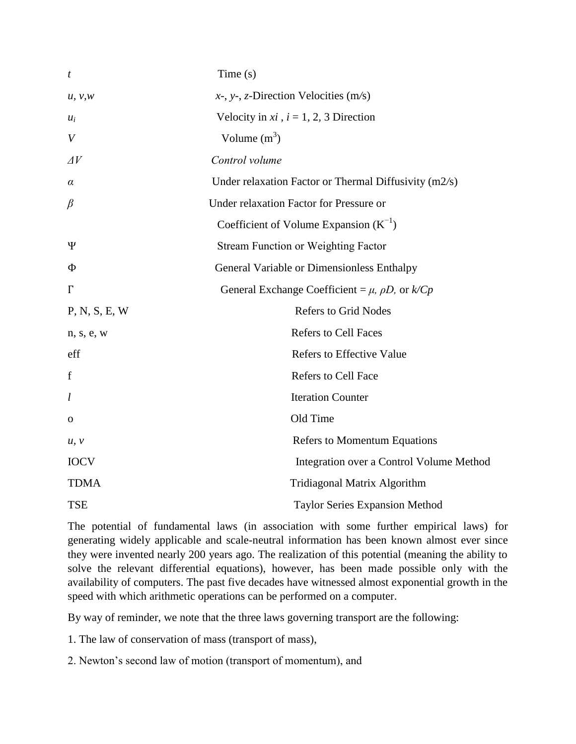| t                | Time(s)                                                       |
|------------------|---------------------------------------------------------------|
| u, v, w          | $x$ -, y-, z-Direction Velocities (m/s)                       |
| $u_i$            | Velocity in $xi$ , $i = 1, 2, 3$ Direction                    |
| $\boldsymbol{V}$ | Volume $(m^3)$                                                |
| $\Delta V$       | Control volume                                                |
| $\alpha$         | Under relaxation Factor or Thermal Diffusivity $(m2/s)$       |
| $\beta$          | Under relaxation Factor for Pressure or                       |
|                  | Coefficient of Volume Expansion $(K^{-1})$                    |
| Ψ                | <b>Stream Function or Weighting Factor</b>                    |
| Ф                | General Variable or Dimensionless Enthalpy                    |
| $\Gamma$         | General Exchange Coefficient = $\mu$ , $\rho D$ , or $k/ C p$ |
| P, N, S, E, W    | <b>Refers to Grid Nodes</b>                                   |
| n, s, e, w       | <b>Refers to Cell Faces</b>                                   |
| eff              | <b>Refers to Effective Value</b>                              |
| $\mathbf f$      | <b>Refers to Cell Face</b>                                    |
| l                | <b>Iteration Counter</b>                                      |
| $\mathbf 0$      | Old Time                                                      |
| u, v             | <b>Refers to Momentum Equations</b>                           |
| <b>IOCV</b>      | Integration over a Control Volume Method                      |
| <b>TDMA</b>      | Tridiagonal Matrix Algorithm                                  |
| <b>TSE</b>       | <b>Taylor Series Expansion Method</b>                         |

The potential of fundamental laws (in association with some further empirical laws) for generating widely applicable and scale-neutral information has been known almost ever since they were invented nearly 200 years ago. The realization of this potential (meaning the ability to solve the relevant differential equations), however, has been made possible only with the availability of computers. The past five decades have witnessed almost exponential growth in the speed with which arithmetic operations can be performed on a computer.

By way of reminder, we note that the three laws governing transport are the following:

1. The law of conservation of mass (transport of mass),

2. Newton's second law of motion (transport of momentum), and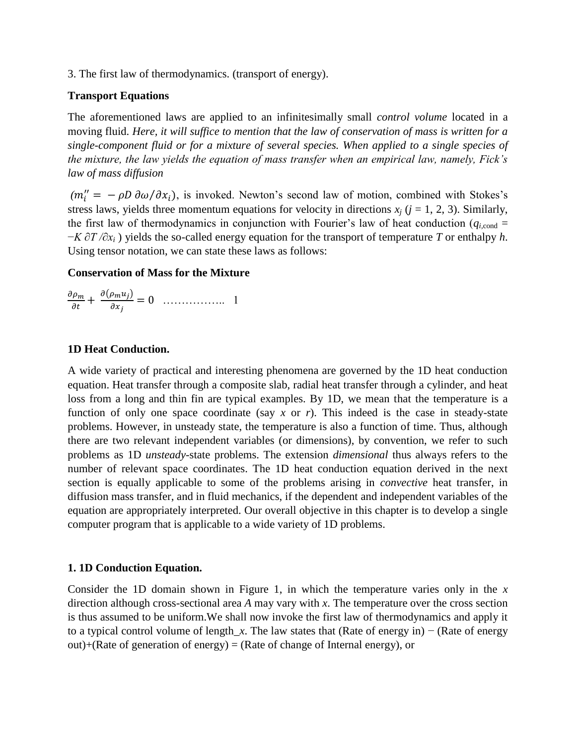3. The first law of thermodynamics. (transport of energy).

# **Transport Equations**

The aforementioned laws are applied to an infinitesimally small *control volume* located in a moving fluid. *Here, it will suffice to mention that the law of conservation of mass is written for a single-component fluid or for a mixture of several species. When applied to a single species of the mixture, the law yields the equation of mass transfer when an empirical law, namely, Fick's law of mass diffusion*

 $(m''_i = -\rho D \partial \omega/\partial x_i)$ , is invoked. Newton's second law of motion, combined with Stokes's stress laws, yields three momentum equations for velocity in directions  $x_i$  ( $j = 1, 2, 3$ ). Similarly, the first law of thermodynamics in conjunction with Fourier's law of heat conduction ( $q_{i,\text{cond}} =$ −*K ∂T /∂x<sup>i</sup>* ) yields the so-called energy equation for the transport of temperature *T* or enthalpy *h*. Using tensor notation, we can state these laws as follows:

# **Conservation of Mass for the Mixture**

 $\partial$  $\partial$  $\partial(\rho_m u_i)$ …………….. 1

# **1D Heat Conduction.**

A wide variety of practical and interesting phenomena are governed by the 1D heat conduction equation. Heat transfer through a composite slab, radial heat transfer through a cylinder, and heat loss from a long and thin fin are typical examples. By 1D, we mean that the temperature is a function of only one space coordinate (say *x* or *r*). This indeed is the case in steady-state problems. However, in unsteady state, the temperature is also a function of time. Thus, although there are two relevant independent variables (or dimensions), by convention, we refer to such problems as 1D *unsteady*-state problems. The extension *dimensional* thus always refers to the number of relevant space coordinates. The 1D heat conduction equation derived in the next section is equally applicable to some of the problems arising in *convective* heat transfer, in diffusion mass transfer, and in fluid mechanics, if the dependent and independent variables of the equation are appropriately interpreted. Our overall objective in this chapter is to develop a single computer program that is applicable to a wide variety of 1D problems.

# **1. 1D Conduction Equation.**

Consider the 1D domain shown in Figure 1, in which the temperature varies only in the *x*  direction although cross-sectional area *A* may vary with *x*. The temperature over the cross section is thus assumed to be uniform.We shall now invoke the first law of thermodynamics and apply it to a typical control volume of length*\_x*. The law states that (Rate of energy in) − (Rate of energy out)+(Rate of generation of energy) = (Rate of change of Internal energy), or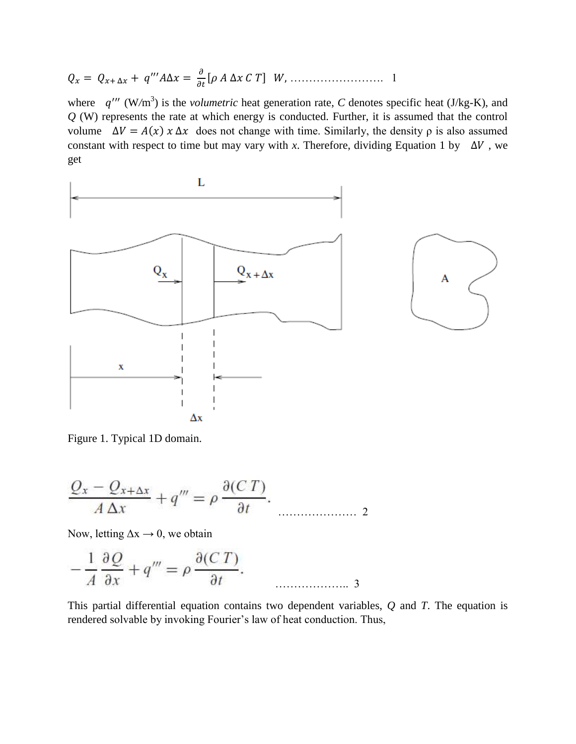[ ] ……………………. 1

where  $q''''$  (W/m<sup>3</sup>) is the *volumetric* heat generation rate, C denotes specific heat (J/kg-K), and *Q* (W) represents the rate at which energy is conducted. Further, it is assumed that the control volume  $\Delta V = A(x) x \Delta x$  does not change with time. Similarly, the density *ρ* is also assumed constant with respect to time but may vary with *x*. Therefore, dividing Equation 1 by  $\Delta V$ , we get



Figure 1. Typical 1D domain.

$$
\frac{Q_x - Q_{x+\Delta x}}{A \Delta x} + q''' = \rho \frac{\partial (CT)}{\partial t}.
$$

Now, letting  $\Delta x \rightarrow 0$ , we obtain

$$
-\frac{1}{A}\frac{\partial Q}{\partial x} + q''' = \rho \frac{\partial (C T)}{\partial t}.
$$

This partial differential equation contains two dependent variables, *Q* and *T*. The equation is rendered solvable by invoking Fourier's law of heat conduction. Thus,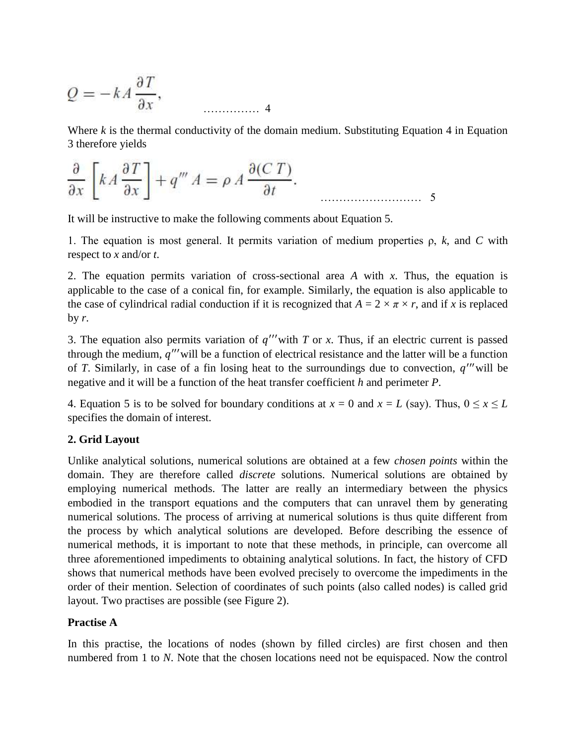$$
Q = -kA \frac{\partial T}{\partial x},
$$

Where *k* is the thermal conductivity of the domain medium. Substituting Equation 4 in Equation 3 therefore yields

$$
\frac{\partial}{\partial x} \left[ k A \frac{\partial T}{\partial x} \right] + q''' A = \rho A \frac{\partial (C T)}{\partial t}.
$$

It will be instructive to make the following comments about Equation 5.

1. The equation is most general. It permits variation of medium properties ρ, *k*, and *C* with respect to *x* and/or *t*.

2. The equation permits variation of cross-sectional area *A* with *x*. Thus, the equation is applicable to the case of a conical fin, for example. Similarly, the equation is also applicable to the case of cylindrical radial conduction if it is recognized that  $A = 2 \times \pi \times r$ , and if *x* is replaced by  $r$ .

3. The equation also permits variation of  $q''$  with  $T$  or  $x$ . Thus, if an electric current is passed through the medium,  $q''$  will be a function of electrical resistance and the latter will be a function of *T*. Similarly, in case of a fin losing heat to the surroundings due to convection,  $q''$  will be negative and it will be a function of the heat transfer coefficient *h* and perimeter *P*.

4. Equation 5 is to be solved for boundary conditions at  $x = 0$  and  $x = L$  (say). Thus,  $0 \le x \le L$ specifies the domain of interest.

# **2. Grid Layout**

Unlike analytical solutions, numerical solutions are obtained at a few *chosen points* within the domain. They are therefore called *discrete* solutions. Numerical solutions are obtained by employing numerical methods. The latter are really an intermediary between the physics embodied in the transport equations and the computers that can unravel them by generating numerical solutions. The process of arriving at numerical solutions is thus quite different from the process by which analytical solutions are developed. Before describing the essence of numerical methods, it is important to note that these methods, in principle, can overcome all three aforementioned impediments to obtaining analytical solutions. In fact, the history of CFD shows that numerical methods have been evolved precisely to overcome the impediments in the order of their mention. Selection of coordinates of such points (also called nodes) is called grid layout. Two practises are possible (see Figure 2).

# **Practise A**

In this practise, the locations of nodes (shown by filled circles) are first chosen and then numbered from 1 to *N*. Note that the chosen locations need not be equispaced. Now the control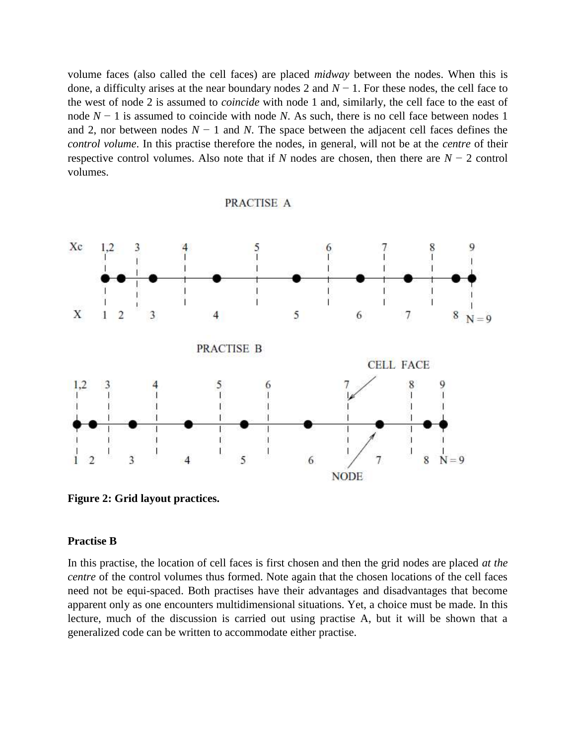volume faces (also called the cell faces) are placed *midway* between the nodes. When this is done, a difficulty arises at the near boundary nodes 2 and *N* − 1. For these nodes, the cell face to the west of node 2 is assumed to *coincide* with node 1 and, similarly, the cell face to the east of node *N* − 1 is assumed to coincide with node *N*. As such, there is no cell face between nodes 1 and 2, nor between nodes *N* − 1 and *N*. The space between the adjacent cell faces defines the *control volume*. In this practise therefore the nodes, in general, will not be at the *centre* of their respective control volumes. Also note that if *N* nodes are chosen, then there are *N* − 2 control volumes.

PRACTISE A

#### Xc  $1.2$ 3 6  $8 N = 9$ X 1  $\overline{2}$ 5 6 7 3 4 **PRACTISE B CELL FACE** 5  $1.2$  $\mathbf{8}$ 6 3 5 6  $\overline{7}$ 8  $N = 9$  $\overline{2}$  $\overline{4}$ **NODE**

**Figure 2: Grid layout practices.**

### **Practise B**

In this practise, the location of cell faces is first chosen and then the grid nodes are placed *at the centre* of the control volumes thus formed. Note again that the chosen locations of the cell faces need not be equi-spaced. Both practises have their advantages and disadvantages that become apparent only as one encounters multidimensional situations. Yet, a choice must be made. In this lecture, much of the discussion is carried out using practise A, but it will be shown that a generalized code can be written to accommodate either practise.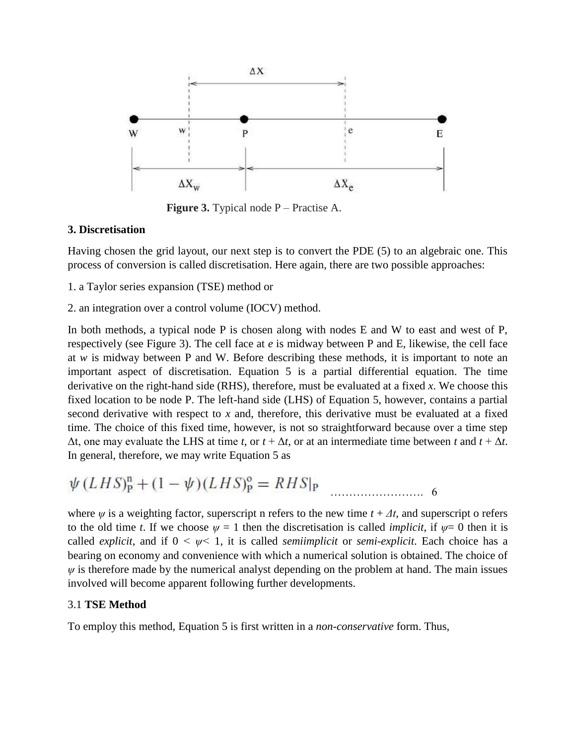

**Figure 3.** Typical node P – Practise A.

# **3. Discretisation**

Having chosen the grid layout, our next step is to convert the PDE (5) to an algebraic one. This process of conversion is called discretisation. Here again, there are two possible approaches:

- 1. a Taylor series expansion (TSE) method or
- 2. an integration over a control volume (IOCV) method.

In both methods, a typical node P is chosen along with nodes E and W to east and west of P, respectively (see Figure 3). The cell face at *e* is midway between P and E, likewise, the cell face at *w* is midway between P and W. Before describing these methods, it is important to note an important aspect of discretisation. Equation 5 is a partial differential equation. The time derivative on the right-hand side (RHS), therefore, must be evaluated at a fixed *x*. We choose this fixed location to be node P. The left-hand side (LHS) of Equation 5, however, contains a partial second derivative with respect to *x* and, therefore, this derivative must be evaluated at a fixed time. The choice of this fixed time, however, is not so straightforward because over a time step Δt, one may evaluate the LHS at time *t*, or *t* + Δ*t*, or at an intermediate time between *t* and *t* + Δ*t*. In general, therefore, we may write Equation 5 as

$$
\psi(LHS)_P^n + (1 - \psi)(LHS)_P^o = RHS|_P
$$

where  $\psi$  is a weighting factor, superscript n refers to the new time  $t + \Delta t$ , and superscript o refers to the old time *t*. If we choose  $\psi = 1$  then the discretisation is called *implicit*, if  $\psi = 0$  then it is called *explicit*, and if  $0 \leq \psi \leq 1$ , it is called *semiimplicit* or *semi-explicit*. Each choice has a bearing on economy and convenience with which a numerical solution is obtained. The choice of  $\psi$  is therefore made by the numerical analyst depending on the problem at hand. The main issues involved will become apparent following further developments.

# 3.1 **TSE Method**

To employ this method, Equation 5 is first written in a *non-conservative* form. Thus,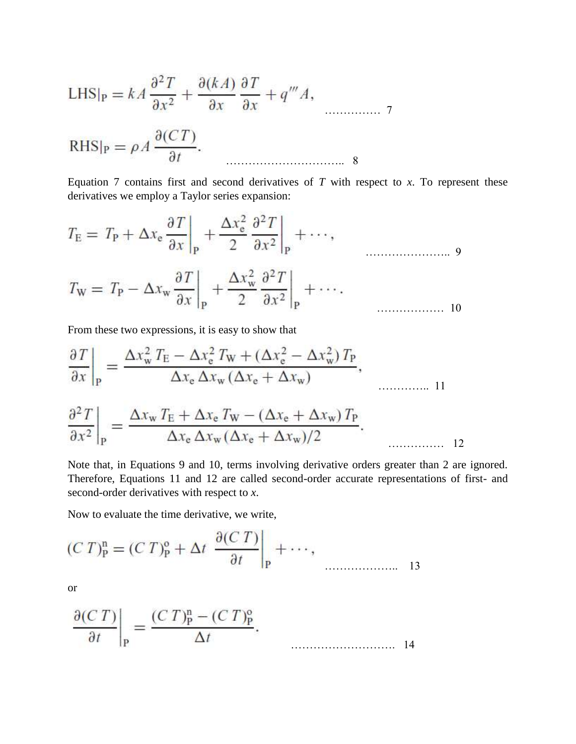LHS<sub>|P</sub> = 
$$
kA \frac{\partial^2 T}{\partial x^2} + \frac{\partial (kA)}{\partial x} \frac{\partial T}{\partial x} + q''' A
$$
,  
RHS<sub>|P</sub> =  $\rho A \frac{\partial (CT)}{\partial t}$ .

Equation 7 contains first and second derivatives of  $T$  with respect to  $x$ . To represent these derivatives we employ a Taylor series expansion:

$$
T_{\rm E} = T_{\rm P} + \Delta x_{\rm e} \frac{\partial T}{\partial x}\Big|_{\rm P} + \frac{\Delta x_{\rm e}^2}{2} \frac{\partial^2 T}{\partial x^2}\Big|_{\rm P} + \cdots,
$$
  

$$
T_{\rm W} = T_{\rm P} - \Delta x_{\rm w} \frac{\partial T}{\partial x}\Big|_{\rm P} + \frac{\Delta x_{\rm w}^2}{2} \frac{\partial^2 T}{\partial x^2}\Big|_{\rm P} + \cdots.
$$

From these two expressions, it is easy to show that

$$
\frac{\partial T}{\partial x}\Big|_{P} = \frac{\Delta x_w^2 T_E - \Delta x_e^2 T_W + (\Delta x_e^2 - \Delta x_w^2) T_P}{\Delta x_e \Delta x_w (\Delta x_e + \Delta x_w)},
$$
  

$$
\frac{\partial^2 T}{\partial x_w T_E + \Delta x_e T_W - (\Delta x_e + \Delta x_w) T_P}.
$$

$$
\frac{1}{\partial x^2}\Big|_{\rm p} = \frac{1}{\Delta x_{\rm e}\,\Delta x_{\rm w}(\Delta x_{\rm e}+\Delta x_{\rm w})/2}.
$$

Note that, in Equations 9 and 10, terms involving derivative orders greater than 2 are ignored. Therefore, Equations 11 and 12 are called second-order accurate representations of first- and second-order derivatives with respect to *x*.

Now to evaluate the time derivative, we write,

$$
(C T)^{n}_{P} = (C T)^{o}_{P} + \Delta t \left. \frac{\partial (C T)}{\partial t} \right|_{P} + \cdots,
$$

or

$$
\left. \frac{\partial (C T)}{\partial t} \right|_{\mathbf{P}} = \frac{(C T)^{\mathbf{n}}_{\mathbf{P}} - (C T)^{\mathbf{o}}_{\mathbf{P}}}{\Delta t}.
$$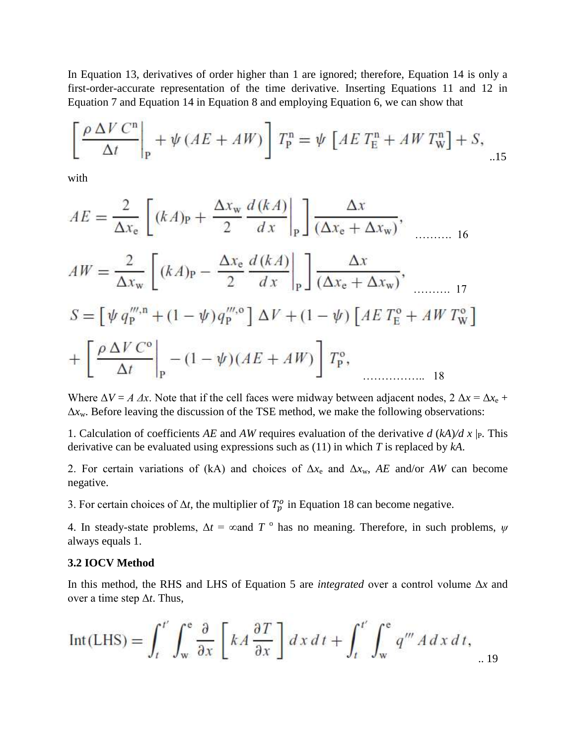In Equation 13, derivatives of order higher than 1 are ignored; therefore, Equation 14 is only a first-order-accurate representation of the time derivative. Inserting Equations 11 and 12 in Equation 7 and Equation 14 in Equation 8 and employing Equation 6, we can show that

$$
\left[\frac{\rho \Delta V C^{n}}{\Delta t}\right]_{P} + \psi (AE + AW)\right] T_{P}^{n} = \psi \left[AE T_{E}^{n} + AW T_{W}^{n}\right] + S,
$$

with

$$
AE = \frac{2}{\Delta x_{e}} \left[ (kA)_{P} + \frac{\Delta x_{w}}{2} \frac{d(kA)}{dx} \Big|_{P} \right] \frac{\Delta x}{(\Delta x_{e} + \Delta x_{w})},
$$
  
\n
$$
AW = \frac{2}{\Delta x_{w}} \left[ (kA)_{P} - \frac{\Delta x_{e}}{2} \frac{d(kA)}{dx} \Big|_{P} \right] \frac{\Delta x}{(\Delta x_{e} + \Delta x_{w})},
$$
  
\n
$$
S = \left[ \psi q_{P}^{''', n} + (1 - \psi) q_{P}^{''', 0} \right] \Delta V + (1 - \psi) \left[ AE T_{E}^{0} + AW T_{W}^{0} \right]
$$
  
\n
$$
+ \left[ \frac{\rho \Delta V C^{0}}{\Delta t} \Big|_{P} - (1 - \psi) (AE + AW) \right] T_{P}^{0},
$$

Where  $\Delta V = A \Delta x$ . Note that if the cell faces were midway between adjacent nodes,  $2 \Delta x = \Delta x_e +$ Δ*x*w. Before leaving the discussion of the TSE method, we make the following observations:

1. Calculation of coefficients *AE* and *AW* requires evaluation of the derivative  $d (kA)/d x |_{P}$ . This derivative can be evaluated using expressions such as (11) in which *T* is replaced by *kA*.

2. For certain variations of (kA) and choices of Δ*x*<sup>e</sup> and Δ*x*w, *AE* and/or *AW* can become negative.

3. For certain choices of  $\Delta t$ , the multiplier of  $T_p^o$  in Equation 18 can become negative.

4. In steady-state problems,  $\Delta t = \infty$  and  $T^{\circ}$  has no meaning. Therefore, in such problems,  $\psi$ always equals 1.

# **3.2 IOCV Method**

In this method, the RHS and LHS of Equation 5 are *integrated* over a control volume Δ*x* and over a time step Δ*t*. Thus,

$$
Int(LHS) = \int_{t}^{t'} \int_{w}^{e} \frac{\partial}{\partial x} \left[ kA \frac{\partial T}{\partial x} \right] dx dt + \int_{t}^{t'} \int_{w}^{e} q''' A dx dt, \quad (19)
$$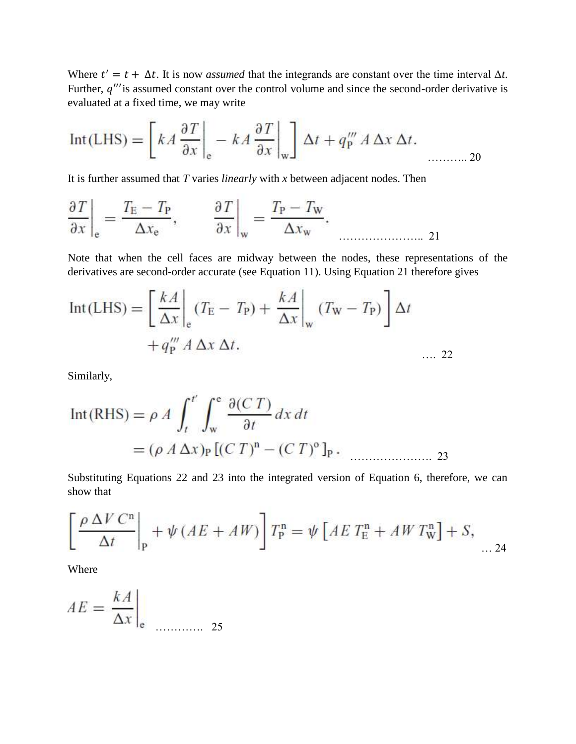Where  $t' = t + \Delta t$ . It is now *assumed* that the integrands are constant over the time interval  $\Delta t$ . Further,  $q^{\prime\prime\prime}$  is assumed constant over the control volume and since the second-order derivative is evaluated at a fixed time, we may write

$$
Int(LHS) = \left[ kA \frac{\partial T}{\partial x} \bigg|_{e} - kA \frac{\partial T}{\partial x} \bigg|_{w} \right] \Delta t + q_{P}''' A \Delta x \Delta t.
$$

It is further assumed that *T* varies *linearly* with *x* between adjacent nodes. Then

$$
\left. \frac{\partial T}{\partial x} \right|_{e} = \frac{T_{E} - T_{P}}{\Delta x_{e}}, \qquad \left. \frac{\partial T}{\partial x} \right|_{w} = \frac{T_{P} - T_{W}}{\Delta x_{w}}.
$$

Note that when the cell faces are midway between the nodes, these representations of the derivatives are second-order accurate (see Equation 11). Using Equation 21 therefore gives

$$
Int(LHS) = \left[\frac{kA}{\Delta x}\right]_{e} (T_{E} - T_{P}) + \frac{kA}{\Delta x}\Big|_{w} (T_{W} - T_{P})\right]\Delta t
$$

$$
+ q_{P}''' A \Delta x \Delta t.
$$
.... 22

Similarly,

$$
Int(RHS) = \rho A \int_{t}^{t'} \int_{w}^{e} \frac{\partial (CT)}{\partial t} dx dt
$$
  
=  $(\rho A \Delta x)_{P} [(CT)^{n} - (CT)^{o}]_{P}$ .

Substituting Equations 22 and 23 into the integrated version of Equation 6, therefore, we can show that

$$
\left[\frac{\rho \Delta V C^{n}}{\Delta t}\right]_{P} + \psi (AE + AW)\right] T_{P}^{n} = \psi \left[AE T_{E}^{n} + AW T_{W}^{n}\right] + S, \dots 24
$$

Where

$$
AE = \frac{kA}{\Delta x}\Big|_{e} \quad \dots \quad \dots \quad 25
$$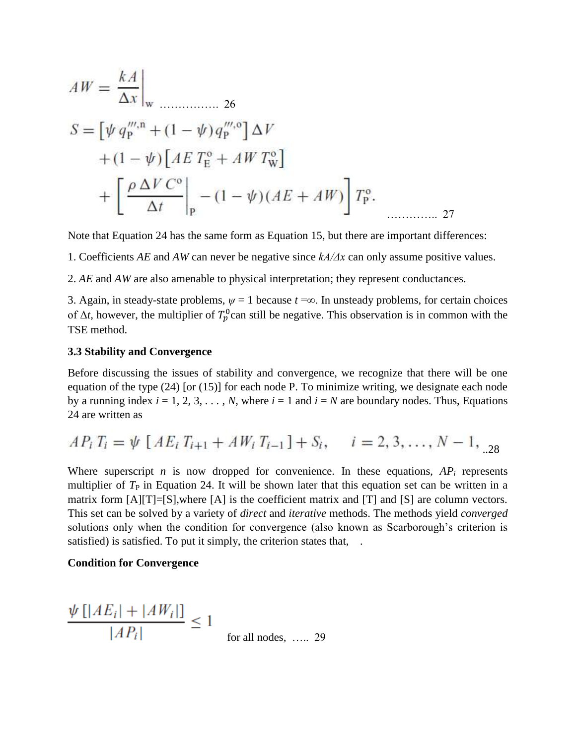$$
AW = \frac{kA}{\Delta x}\Big|_{\mathbf{w}}
$$
  
\n
$$
S = \left[\psi q_{\mathbf{p}}^{''',\mathbf{n}} + (1 - \psi) q_{\mathbf{p}}^{''',\mathbf{o}}\right] \Delta V
$$
  
\n
$$
+ (1 - \psi) \left[AE T_{\mathbf{E}}^{\mathbf{o}} + AW T_{\mathbf{w}}^{\mathbf{o}}\right]
$$
  
\n
$$
+ \left[\frac{\rho \Delta V C^{\mathbf{o}}}{\Delta t}\Big|_{\mathbf{p}} - (1 - \psi) (AE + AW)\right] T_{\mathbf{p}}^{\mathbf{o}}.
$$

Note that Equation 24 has the same form as Equation 15, but there are important differences:

1. Coefficients *AE* and *AW* can never be negative since *kA/Δx* can only assume positive values.

2. *AE* and *AW* are also amenable to physical interpretation; they represent conductances.

3. Again, in steady-state problems,  $\psi = 1$  because  $t = \infty$ . In unsteady problems, for certain choices of  $\Delta t$ , however, the multiplier of  $T_p^0$  can still be negative. This observation is in common with the TSE method.

### **3.3 Stability and Convergence**

Before discussing the issues of stability and convergence, we recognize that there will be one equation of the type (24) [or (15)] for each node P. To minimize writing, we designate each node by a running index  $i = 1, 2, 3, \ldots, N$ , where  $i = 1$  and  $i = N$  are boundary nodes. Thus, Equations 24 are written as

$$
AP_i T_i = \psi \left[ AE_i T_{i+1} + AW_i T_{i-1} \right] + S_i, \quad i = 2, 3, ..., N - 1, \dots
$$

Where superscript *n* is now dropped for convenience. In these equations,  $AP_i$  represents multiplier of  $T_{\rm P}$  in Equation 24. It will be shown later that this equation set can be written in a matrix form  $[A][T]=[S]$ , where  $[A]$  is the coefficient matrix and  $[T]$  and  $[S]$  are column vectors. This set can be solved by a variety of *direct* and *iterative* methods. The methods yield *converged*  solutions only when the condition for convergence (also known as Scarborough's criterion is satisfied) is satisfied. To put it simply, the criterion states that, .

### **Condition for Convergence**

$$
\frac{\psi[|AE_i| + |AW_i|]}{|AP_i|} \le 1
$$
 for all nodes, .... 29